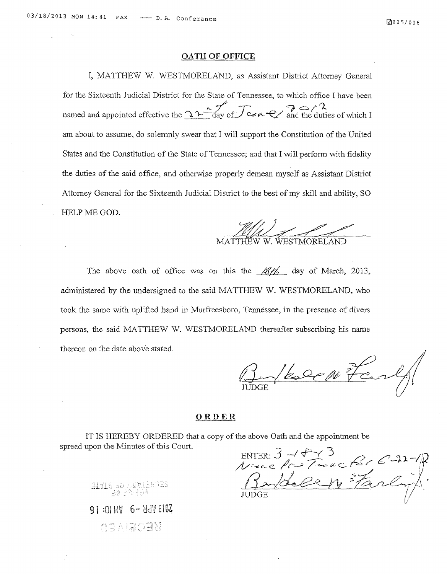## **OATH OF OFFICE**

I, MATTHEW W. WESTMORELAND, as Assistant District Attorney General for the Sixteenth Judicial District for the State of Tennessee, to which office I have been named and appointed effective the  $\frac{12\frac{k}{\log n}}{\log n}$  cen  $\leftarrow$  and the duties of which I am about to assume, do solemnly swear that I will support the Constitution of the United States and the Constitution of the State of Tennessee; and that I will perform with fidelity the duties of the said office, and otherwise properly demean myself as Assistant District Attorney General for the Sixteenth Judicial District to the best of my skill and ability, SO HELP ME GOD. MATTHEW W. WESTMORELAND

The above oath of office was on this the *<i>8th* day of March, 2013, administered by the undersigned to the said MATTHEW W. WESTMORELAND, who took the same with uplifted hand in Murfreesboro, Tennessee, in the presence of divers persons, the said MATTHEW W. WESTMORELAND thereafter subscribing his name thereon on the date above stated.

1/2000 Fe

## **ORDER**

IT IS HEREBY ORDERED that a copy of the above Oath and the appointment be spread upon the Minutes of this Court.

 $_{\text{ENTER:}}$  3 -  $\sqrt{3}$  2 -  $\sqrt{2}$ *Nine Pro Terre Kir 6-15* Bartell Farly? [/

21718 - في 1947 11718<br>- أنار الرابع التي تحمل التي

<sup>91</sup>6- *£10l* CRECES